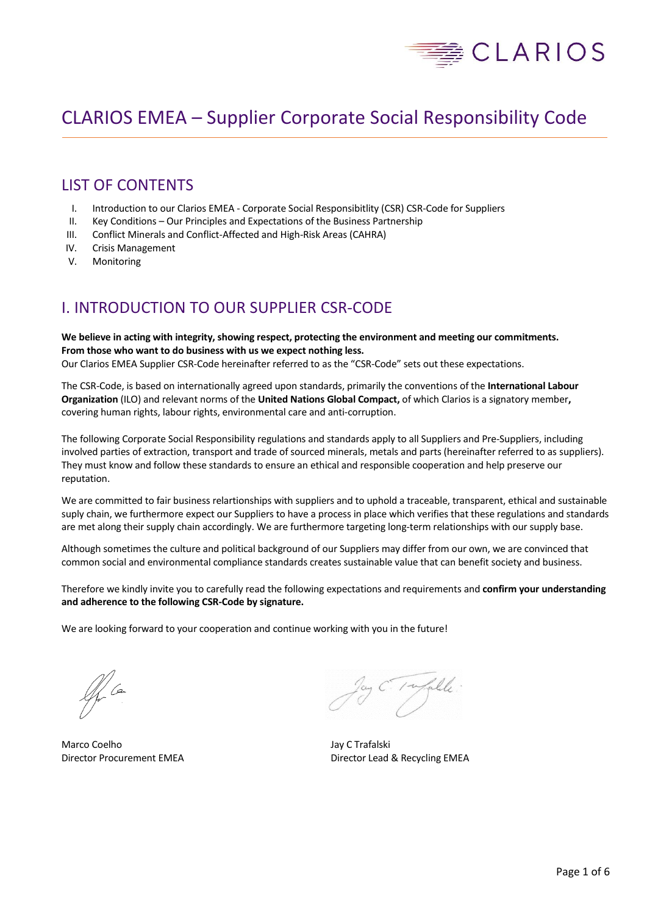

# CLARIOS EMEA – Supplier Corporate Social Responsibility Code

## LIST OF CONTENTS

- I. Introduction to our Clarios EMEA Corporate Social Responsibitlity (CSR) CSR-Code for Suppliers
- II. Key Conditions Our Principles and Expectations of the Business Partnership
- III. Conflict Minerals and Conflict-Affected and High-Risk Areas (CAHRA)
- IV. Crisis Management
- V. Monitoring

## I. INTRODUCTION TO OUR SUPPLIER CSR-CODE

### **We believe in acting with integrity, showing respect, protecting the environment and meeting our commitments. From those who want to do business with us we expect nothing less.**  Our Clarios EMEA Supplier CSR-Code hereinafter referred to as the "CSR-Code" sets out these expectations.

The CSR-Code, is based on internationally agreed upon standards, primarily the conventions of the **International Labour Organization** (ILO) and relevant norms of the **United Nations Global Compact,** of which Clarios is a signatory member**,** covering human rights, labour rights, environmental care and anti-corruption.

The following Corporate Social Responsibility regulations and standards apply to all Suppliers and Pre-Suppliers, including involved parties of extraction, transport and trade of sourced minerals, metals and parts (hereinafter referred to as suppliers). They must know and follow these standards to ensure an ethical and responsible cooperation and help preserve our reputation.

We are committed to fair business relartionships with suppliers and to uphold a traceable, transparent, ethical and sustainable suply chain, we furthermore expect our Suppliers to have a process in place which verifies that these regulations and standards are met along their supply chain accordingly. We are furthermore targeting long-term relationships with our supply base.

Although sometimes the culture and political background of our Suppliers may differ from our own, we are convinced that common social and environmental compliance standards creates sustainable value that can benefit society and business.

Therefore we kindly invite you to carefully read the following expectations and requirements and **confirm your understanding and adherence to the following CSR-Code by signature.**

We are looking forward to your cooperation and continue working with you in the future!

// Ca

Marco Coelho **Marco Coelho** Jay C Trafalski

lay C. Pufalle.

Director Procurement EMEA Director Lead & Recycling EMEA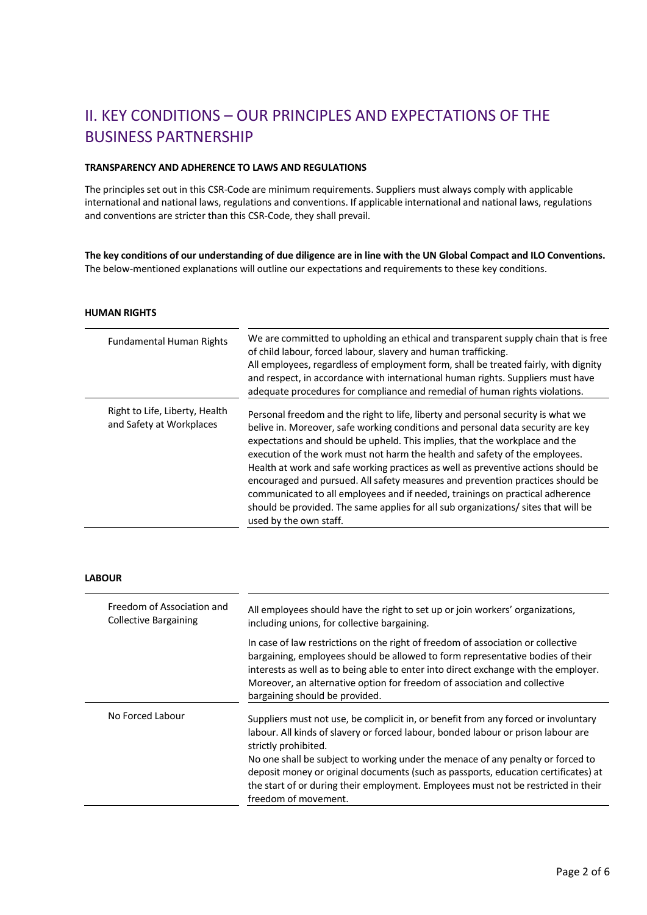# II. KEY CONDITIONS – OUR PRINCIPLES AND EXPECTATIONS OF THE BUSINESS PARTNERSHIP

## **TRANSPARENCY AND ADHERENCE TO LAWS AND REGULATIONS**

The principles set out in this CSR-Code are minimum requirements. Suppliers must always comply with applicable international and national laws, regulations and conventions. If applicable international and national laws, regulations and conventions are stricter than this CSR-Code, they shall prevail.

**The key conditions of our understanding of due diligence are in line with the UN Global Compact and ILO Conventions.**  The below-mentioned explanations will outline our expectations and requirements to these key conditions.

#### **HUMAN RIGHTS**

| <b>Fundamental Human Rights</b>                            | We are committed to upholding an ethical and transparent supply chain that is free<br>of child labour, forced labour, slavery and human trafficking.<br>All employees, regardless of employment form, shall be treated fairly, with dignity<br>and respect, in accordance with international human rights. Suppliers must have<br>adequate procedures for compliance and remedial of human rights violations.                                                                                                                                                                                                                                                                                             |
|------------------------------------------------------------|-----------------------------------------------------------------------------------------------------------------------------------------------------------------------------------------------------------------------------------------------------------------------------------------------------------------------------------------------------------------------------------------------------------------------------------------------------------------------------------------------------------------------------------------------------------------------------------------------------------------------------------------------------------------------------------------------------------|
| Right to Life, Liberty, Health<br>and Safety at Workplaces | Personal freedom and the right to life, liberty and personal security is what we<br>belive in. Moreover, safe working conditions and personal data security are key<br>expectations and should be upheld. This implies, that the workplace and the<br>execution of the work must not harm the health and safety of the employees.<br>Health at work and safe working practices as well as preventive actions should be<br>encouraged and pursued. All safety measures and prevention practices should be<br>communicated to all employees and if needed, trainings on practical adherence<br>should be provided. The same applies for all sub organizations/ sites that will be<br>used by the own staff. |

## **LABOUR**

| Freedom of Association and<br><b>Collective Bargaining</b> | All employees should have the right to set up or join workers' organizations,<br>including unions, for collective bargaining.                                                                                                                                                                                                                                                                                                                                                          |
|------------------------------------------------------------|----------------------------------------------------------------------------------------------------------------------------------------------------------------------------------------------------------------------------------------------------------------------------------------------------------------------------------------------------------------------------------------------------------------------------------------------------------------------------------------|
|                                                            | In case of law restrictions on the right of freedom of association or collective<br>bargaining, employees should be allowed to form representative bodies of their<br>interests as well as to being able to enter into direct exchange with the employer.<br>Moreover, an alternative option for freedom of association and collective<br>bargaining should be provided.                                                                                                               |
| No Forced Labour                                           | Suppliers must not use, be complicit in, or benefit from any forced or involuntary<br>labour. All kinds of slavery or forced labour, bonded labour or prison labour are<br>strictly prohibited.<br>No one shall be subject to working under the menace of any penalty or forced to<br>deposit money or original documents (such as passports, education certificates) at<br>the start of or during their employment. Employees must not be restricted in their<br>freedom of movement. |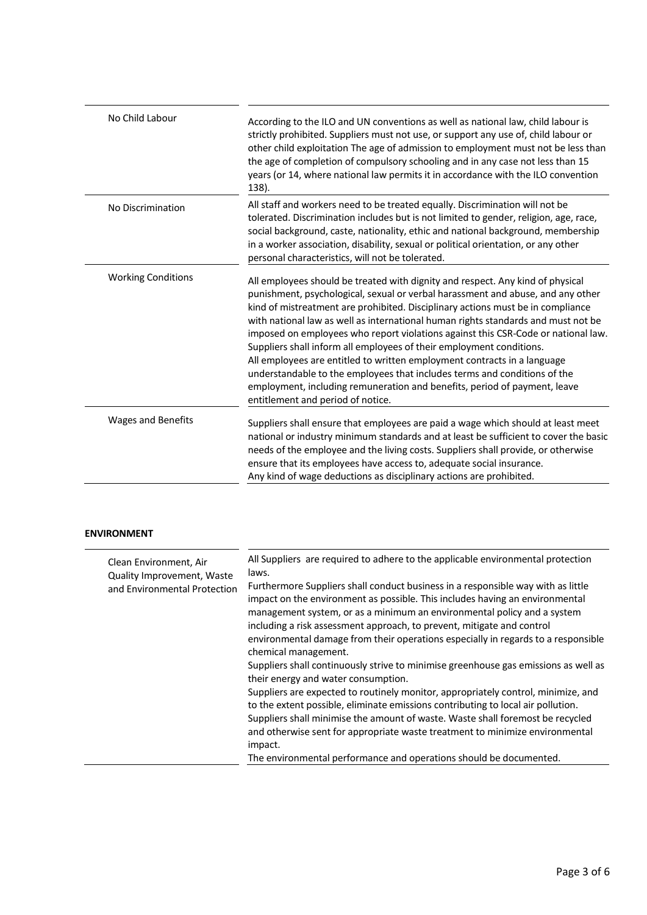| No Child Labour           | According to the ILO and UN conventions as well as national law, child labour is<br>strictly prohibited. Suppliers must not use, or support any use of, child labour or<br>other child exploitation The age of admission to employment must not be less than<br>the age of completion of compulsory schooling and in any case not less than 15<br>years (or 14, where national law permits it in accordance with the ILO convention<br>138).                                                                                                                                                                                                                                                                                                                                      |
|---------------------------|-----------------------------------------------------------------------------------------------------------------------------------------------------------------------------------------------------------------------------------------------------------------------------------------------------------------------------------------------------------------------------------------------------------------------------------------------------------------------------------------------------------------------------------------------------------------------------------------------------------------------------------------------------------------------------------------------------------------------------------------------------------------------------------|
| No Discrimination         | All staff and workers need to be treated equally. Discrimination will not be<br>tolerated. Discrimination includes but is not limited to gender, religion, age, race,<br>social background, caste, nationality, ethic and national background, membership<br>in a worker association, disability, sexual or political orientation, or any other<br>personal characteristics, will not be tolerated.                                                                                                                                                                                                                                                                                                                                                                               |
| <b>Working Conditions</b> | All employees should be treated with dignity and respect. Any kind of physical<br>punishment, psychological, sexual or verbal harassment and abuse, and any other<br>kind of mistreatment are prohibited. Disciplinary actions must be in compliance<br>with national law as well as international human rights standards and must not be<br>imposed on employees who report violations against this CSR-Code or national law.<br>Suppliers shall inform all employees of their employment conditions.<br>All employees are entitled to written employment contracts in a language<br>understandable to the employees that includes terms and conditions of the<br>employment, including remuneration and benefits, period of payment, leave<br>entitlement and period of notice. |
| <b>Wages and Benefits</b> | Suppliers shall ensure that employees are paid a wage which should at least meet<br>national or industry minimum standards and at least be sufficient to cover the basic<br>needs of the employee and the living costs. Suppliers shall provide, or otherwise<br>ensure that its employees have access to, adequate social insurance.<br>Any kind of wage deductions as disciplinary actions are prohibited.                                                                                                                                                                                                                                                                                                                                                                      |

## **ENVIRONMENT**

| Clean Environment, Air       | All Suppliers are required to adhere to the applicable environmental protection                                                                                                                                                                                                                                                                                                                                                    |
|------------------------------|------------------------------------------------------------------------------------------------------------------------------------------------------------------------------------------------------------------------------------------------------------------------------------------------------------------------------------------------------------------------------------------------------------------------------------|
| Quality Improvement, Waste   | laws.                                                                                                                                                                                                                                                                                                                                                                                                                              |
| and Environmental Protection | Furthermore Suppliers shall conduct business in a responsible way with as little<br>impact on the environment as possible. This includes having an environmental<br>management system, or as a minimum an environmental policy and a system<br>including a risk assessment approach, to prevent, mitigate and control<br>environmental damage from their operations especially in regards to a responsible<br>chemical management. |
|                              | Suppliers shall continuously strive to minimise greenhouse gas emissions as well as<br>their energy and water consumption.                                                                                                                                                                                                                                                                                                         |
|                              | Suppliers are expected to routinely monitor, appropriately control, minimize, and<br>to the extent possible, eliminate emissions contributing to local air pollution.<br>Suppliers shall minimise the amount of waste. Waste shall foremost be recycled<br>and otherwise sent for appropriate waste treatment to minimize environmental<br>impact.                                                                                 |
|                              | The environmental performance and operations should be documented.                                                                                                                                                                                                                                                                                                                                                                 |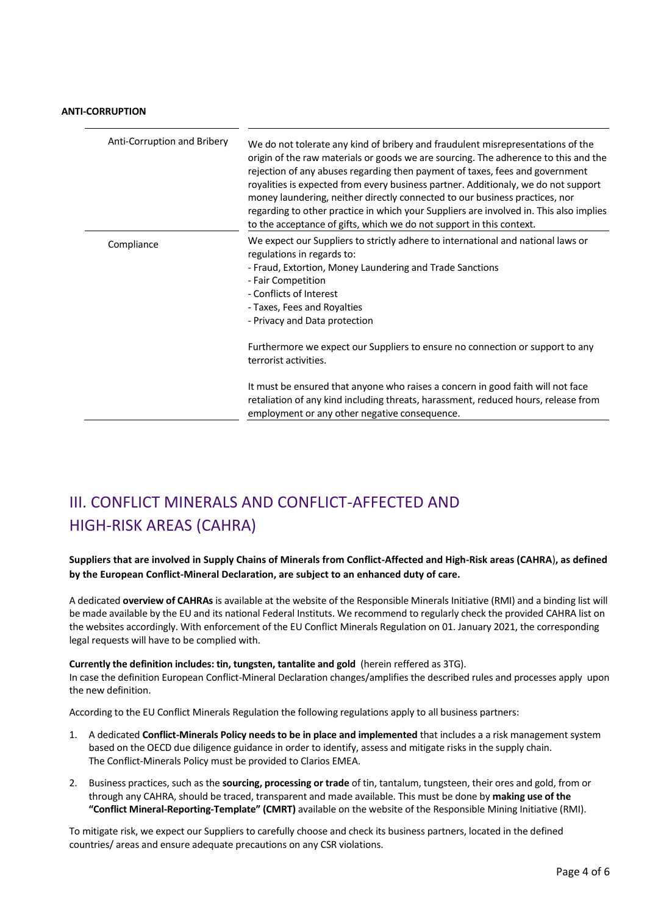## **ANTI-CORRUPTION**

| Anti-Corruption and Bribery | We do not tolerate any kind of bribery and fraudulent misrepresentations of the<br>origin of the raw materials or goods we are sourcing. The adherence to this and the<br>rejection of any abuses regarding then payment of taxes, fees and government<br>royalities is expected from every business partner. Additionaly, we do not support<br>money laundering, neither directly connected to our business practices, nor<br>regarding to other practice in which your Suppliers are involved in. This also implies<br>to the acceptance of gifts, which we do not support in this context. |
|-----------------------------|-----------------------------------------------------------------------------------------------------------------------------------------------------------------------------------------------------------------------------------------------------------------------------------------------------------------------------------------------------------------------------------------------------------------------------------------------------------------------------------------------------------------------------------------------------------------------------------------------|
| Compliance                  | We expect our Suppliers to strictly adhere to international and national laws or<br>regulations in regards to:<br>- Fraud, Extortion, Money Laundering and Trade Sanctions<br>- Fair Competition<br>- Conflicts of Interest<br>- Taxes, Fees and Royalties<br>- Privacy and Data protection                                                                                                                                                                                                                                                                                                   |
|                             | Furthermore we expect our Suppliers to ensure no connection or support to any<br>terrorist activities.                                                                                                                                                                                                                                                                                                                                                                                                                                                                                        |
|                             | It must be ensured that anyone who raises a concern in good faith will not face<br>retaliation of any kind including threats, harassment, reduced hours, release from<br>employment or any other negative consequence.                                                                                                                                                                                                                                                                                                                                                                        |

# III. CONFLICT MINERALS AND CONFLICT-AFFECTED AND HIGH-RISK AREAS (CAHRA)

## **Suppliers that are involved in Supply Chains of Minerals from Conflict-Affected and High-Risk areas (CAHRA**)**, as defined by the European Conflict-Mineral Declaration, are subject to an enhanced duty of care.**

A dedicated **overview of CAHRAs** is available at the website of the Responsible Minerals Initiative (RMI) and a binding list will be made available by the EU and its national Federal Instituts. We recommend to regularly check the provided CAHRA list on the websites accordingly. With enforcement of the EU Conflict Minerals Regulation on 01. January 2021, the corresponding legal requests will have to be complied with.

### **Currently the definition includes: tin, tungsten, tantalite and gold** (herein reffered as 3TG).

In case the definition European Conflict-Mineral Declaration changes/amplifies the described rules and processes apply upon the new definition.

According to the EU Conflict Minerals Regulation the following regulations apply to all business partners:

- 1. A dedicated **Conflict-Minerals Policy needs to be in place and implemented** that includes a a risk management system based on the OECD due diligence guidance in order to identify, assess and mitigate risks in the supply chain. The Conflict-Minerals Policy must be provided to Clarios EMEA.
- 2. Business practices, such as the **sourcing, processing or trade** of tin, tantalum, tungsteen, their ores and gold, from or through any CAHRA, should be traced, transparent and made available. This must be done by **making use of the "Conflict Mineral-Reporting-Template" (CMRT)** available on the website of the Responsible Mining Initiative (RMI).

To mitigate risk, we expect our Suppliers to carefully choose and check its business partners, located in the defined countries/ areas and ensure adequate precautions on any CSR violations.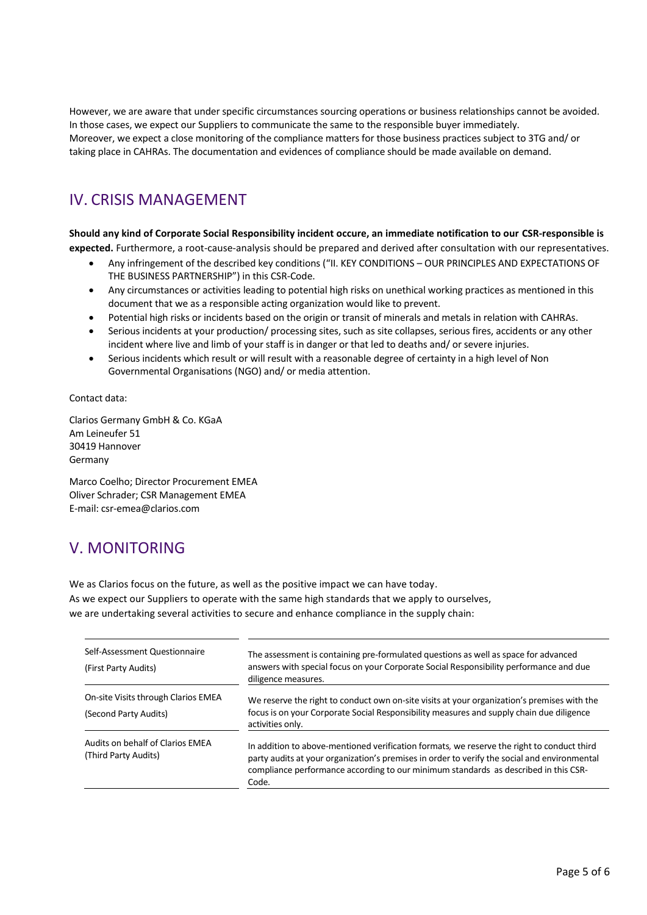However, we are aware that under specific circumstances sourcing operations or business relationships cannot be avoided. In those cases, we expect our Suppliers to communicate the same to the responsible buyer immediately. Moreover, we expect a close monitoring of the compliance matters for those business practices subject to 3TG and/ or taking place in CAHRAs. The documentation and evidences of compliance should be made available on demand.

# IV. CRISIS MANAGEMENT

## **Should any kind of Corporate Social Responsibility incident occure, an immediate notification to our CSR-responsible is**

**expected.** Furthermore, a root-cause-analysis should be prepared and derived after consultation with our representatives.

- Any infringement of the described key conditions ("II. KEY CONDITIONS OUR PRINCIPLES AND EXPECTATIONS OF THE BUSINESS PARTNERSHIP") in this CSR-Code.
- Any circumstances or activities leading to potential high risks on unethical working practices as mentioned in this document that we as a responsible acting organization would like to prevent.
- Potential high risks or incidents based on the origin or transit of minerals and metals in relation with CAHRAs.
- Serious incidents at your production/ processing sites, such as site collapses, serious fires, accidents or any other incident where live and limb of your staff is in danger or that led to deaths and/ or severe injuries.
- Serious incidents which result or will result with a reasonable degree of certainty in a high level of Non Governmental Organisations (NGO) and/ or media attention.

Contact data:

Clarios Germany GmbH & Co. KGaA Am Leineufer 51 30419 Hannover Germany

Marco Coelho; Director Procurement EMEA Oliver Schrader; CSR Management EMEA E-mail: csr-emea@clarios.com

# V. MONITORING

We as Clarios focus on the future, as well as the positive impact we can have today. As we expect our Suppliers to operate with the same high standards that we apply to ourselves, we are undertaking several activities to secure and enhance compliance in the supply chain:

| Self-Assessment Questionnaire<br>(First Party Audits)        | The assessment is containing pre-formulated questions as well as space for advanced<br>answers with special focus on your Corporate Social Responsibility performance and due<br>diligence measures.                                                                                       |
|--------------------------------------------------------------|--------------------------------------------------------------------------------------------------------------------------------------------------------------------------------------------------------------------------------------------------------------------------------------------|
| On-site Visits through Clarios EMEA<br>(Second Party Audits) | We reserve the right to conduct own on-site visits at your organization's premises with the<br>focus is on your Corporate Social Responsibility measures and supply chain due diligence<br>activities only.                                                                                |
| Audits on behalf of Clarios EMEA<br>(Third Party Audits)     | In addition to above-mentioned verification formats, we reserve the right to conduct third<br>party audits at your organization's premises in order to verify the social and environmental<br>compliance performance according to our minimum standards as described in this CSR-<br>Code. |